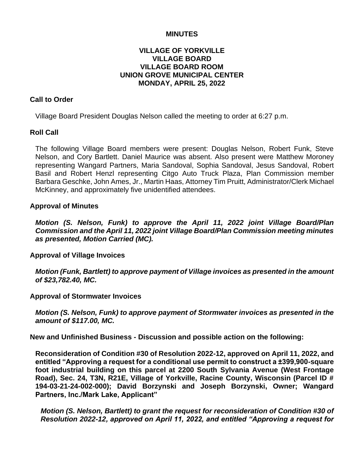#### **MINUTES**

# **VILLAGE OF YORKVILLE VILLAGE BOARD VILLAGE BOARD ROOM UNION GROVE MUNICIPAL CENTER MONDAY, APRIL 25, 2022**

#### **Call to Order**

Village Board President Douglas Nelson called the meeting to order at 6:27 p.m.

#### **Roll Call**

The following Village Board members were present: Douglas Nelson, Robert Funk, Steve Nelson, and Cory Bartlett. Daniel Maurice was absent. Also present were Matthew Moroney representing Wangard Partners, Maria Sandoval, Sophia Sandoval, Jesus Sandoval, Robert Basil and Robert Henzl representing Citgo Auto Truck Plaza, Plan Commission member Barbara Geschke, John Ames, Jr., Martin Haas, Attorney Tim Pruitt, Administrator/Clerk Michael McKinney, and approximately five unidentified attendees.

#### **Approval of Minutes**

*Motion (S. Nelson, Funk) to approve the April 11, 2022 joint Village Board/Plan Commission and the April 11, 2022 joint Village Board/Plan Commission meeting minutes as presented, Motion Carried (MC).*

**Approval of Village Invoices**

*Motion (Funk, Bartlett) to approve payment of Village invoices as presented in the amount of \$23,782.40, MC.*

**Approval of Stormwater Invoices**

*Motion (S. Nelson, Funk) to approve payment of Stormwater invoices as presented in the amount of \$117.00, MC.*

**New and Unfinished Business - Discussion and possible action on the following:**

**Reconsideration of Condition #30 of Resolution 2022-12, approved on April 11, 2022, and entitled "Approving a request for a conditional use permit to construct a ±399,900-square foot industrial building on this parcel at 2200 South Sylvania Avenue (West Frontage Road), Sec. 24, T3N, R21E, Village of Yorkville, Racine County, Wisconsin (Parcel ID # 194-03-21-24-002-000); David Borzynski and Joseph Borzynski, Owner; Wangard Partners, Inc./Mark Lake, Applicant"**

*Motion (S. Nelson, Bartlett) to grant the request for reconsideration of Condition #30 of Resolution 2022-12, approved on April 11, 2022, and entitled "Approving a request for*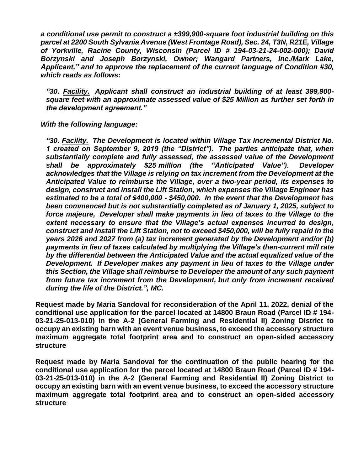*a conditional use permit to construct a ±399,900-square foot industrial building on this parcel at 2200 South Sylvania Avenue (West Frontage Road), Sec. 24, T3N, R21E, Village of Yorkville, Racine County, Wisconsin (Parcel ID # 194-03-21-24-002-000); David Borzynski and Joseph Borzynski, Owner; Wangard Partners, Inc./Mark Lake, Applicant," and to approve the replacement of the current language of Condition #30, which reads as follows:*

*"30. Facility. Applicant shall construct an industrial building of at least 399,900 square feet with an approximate assessed value of \$25 Million as further set forth in the development agreement."*

*With the following language:*

*"30. Facility. The Development is located within Village Tax Incremental District No. 1 created on September 9, 2019 (the "District"). The parties anticipate that, when substantially complete and fully assessed, the assessed value of the Development shall be approximately \$25 million (the "Anticipated Value"). Developer acknowledges that the Village is relying on tax increment from the Development at the Anticipated Value to reimburse the Village, over a two-year period, its expenses to design, construct and install the Lift Station, which expenses the Village Engineer has estimated to be a total of \$400,000 - \$450,000. In the event that the Development has been commenced but is not substantially completed as of January 1, 2025, subject to force majeure, Developer shall make payments in lieu of taxes to the Village to the extent necessary to ensure that the Village's actual expenses incurred to design, construct and install the Lift Station, not to exceed \$450,000, will be fully repaid in the years 2026 and 2027 from (a) tax increment generated by the Development and/or (b) payments in lieu of taxes calculated by multiplying the Village's then-current mill rate by the differential between the Anticipated Value and the actual equalized value of the Development. If Developer makes any payment in lieu of taxes to the Village under this Section, the Village shall reimburse to Developer the amount of any such payment from future tax increment from the Development, but only from increment received during the life of the District.", MC.*

**Request made by Maria Sandoval for reconsideration of the April 11, 2022, denial of the conditional use application for the parcel located at 14800 Braun Road (Parcel ID # 194- 03-21-25-013-010) in the A-2 (General Farming and Residential II) Zoning District to occupy an existing barn with an event venue business, to exceed the accessory structure maximum aggregate total footprint area and to construct an open-sided accessory structure**

**Request made by Maria Sandoval for the continuation of the public hearing for the conditional use application for the parcel located at 14800 Braun Road (Parcel ID # 194- 03-21-25-013-010) in the A-2 (General Farming and Residential II) Zoning District to occupy an existing barn with an event venue business, to exceed the accessory structure maximum aggregate total footprint area and to construct an open-sided accessory structure**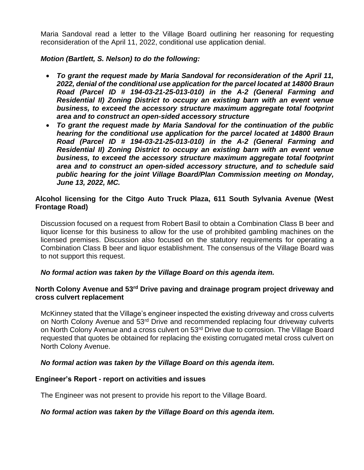Maria Sandoval read a letter to the Village Board outlining her reasoning for requesting reconsideration of the April 11, 2022, conditional use application denial.

# *Motion (Bartlett, S. Nelson) to do the following:*

- *To grant the request made by Maria Sandoval for reconsideration of the April 11, 2022, denial of the conditional use application for the parcel located at 14800 Braun Road (Parcel ID # 194-03-21-25-013-010) in the A-2 (General Farming and Residential II) Zoning District to occupy an existing barn with an event venue business, to exceed the accessory structure maximum aggregate total footprint area and to construct an open-sided accessory structure*
- *To grant the request made by Maria Sandoval for the continuation of the public hearing for the conditional use application for the parcel located at 14800 Braun Road (Parcel ID # 194-03-21-25-013-010) in the A-2 (General Farming and Residential II) Zoning District to occupy an existing barn with an event venue business, to exceed the accessory structure maximum aggregate total footprint area and to construct an open-sided accessory structure, and to schedule said public hearing for the joint Village Board/Plan Commission meeting on Monday, June 13, 2022, MC.*

# **Alcohol licensing for the Citgo Auto Truck Plaza, 611 South Sylvania Avenue (West Frontage Road)**

Discussion focused on a request from Robert Basil to obtain a Combination Class B beer and liquor license for this business to allow for the use of prohibited gambling machines on the licensed premises. Discussion also focused on the statutory requirements for operating a Combination Class B beer and liquor establishment. The consensus of the Village Board was to not support this request.

# *No formal action was taken by the Village Board on this agenda item.*

# **North Colony Avenue and 53rd Drive paving and drainage program project driveway and cross culvert replacement**

McKinney stated that the Village's engineer inspected the existing driveway and cross culverts on North Colony Avenue and 53<sup>rd</sup> Drive and recommended replacing four driveway culverts on North Colony Avenue and a cross culvert on 53<sup>rd</sup> Drive due to corrosion. The Village Board requested that quotes be obtained for replacing the existing corrugated metal cross culvert on North Colony Avenue.

# *No formal action was taken by the Village Board on this agenda item.*

# **Engineer's Report - report on activities and issues**

The Engineer was not present to provide his report to the Village Board.

# *No formal action was taken by the Village Board on this agenda item.*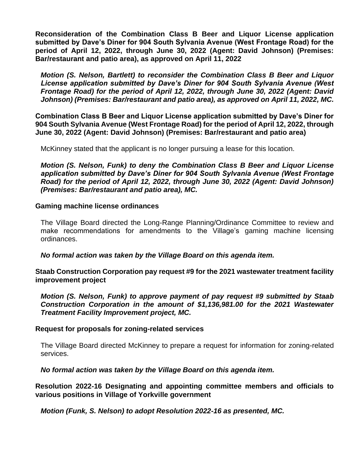**Reconsideration of the Combination Class B Beer and Liquor License application submitted by Dave's Diner for 904 South Sylvania Avenue (West Frontage Road) for the period of April 12, 2022, through June 30, 2022 (Agent: David Johnson) (Premises: Bar/restaurant and patio area), as approved on April 11, 2022**

*Motion (S. Nelson, Bartlett) to reconsider the Combination Class B Beer and Liquor License application submitted by Dave's Diner for 904 South Sylvania Avenue (West Frontage Road) for the period of April 12, 2022, through June 30, 2022 (Agent: David Johnson) (Premises: Bar/restaurant and patio area), as approved on April 11, 2022, MC.*

**Combination Class B Beer and Liquor License application submitted by Dave's Diner for 904 South Sylvania Avenue (West Frontage Road) for the period of April 12, 2022, through June 30, 2022 (Agent: David Johnson) (Premises: Bar/restaurant and patio area)**

McKinney stated that the applicant is no longer pursuing a lease for this location.

*Motion (S. Nelson, Funk) to deny the Combination Class B Beer and Liquor License application submitted by Dave's Diner for 904 South Sylvania Avenue (West Frontage Road) for the period of April 12, 2022, through June 30, 2022 (Agent: David Johnson) (Premises: Bar/restaurant and patio area), MC.*

#### **Gaming machine license ordinances**

The Village Board directed the Long-Range Planning/Ordinance Committee to review and make recommendations for amendments to the Village's gaming machine licensing ordinances.

*No formal action was taken by the Village Board on this agenda item.*

**Staab Construction Corporation pay request #9 for the 2021 wastewater treatment facility improvement project**

*Motion (S. Nelson, Funk) to approve payment of pay request #9 submitted by Staab Construction Corporation in the amount of \$1,136,981.00 for the 2021 Wastewater Treatment Facility Improvement project, MC.*

#### **Request for proposals for zoning-related services**

The Village Board directed McKinney to prepare a request for information for zoning-related services.

*No formal action was taken by the Village Board on this agenda item.*

**Resolution 2022-16 Designating and appointing committee members and officials to various positions in Village of Yorkville government**

*Motion (Funk, S. Nelson) to adopt Resolution 2022-16 as presented, MC.*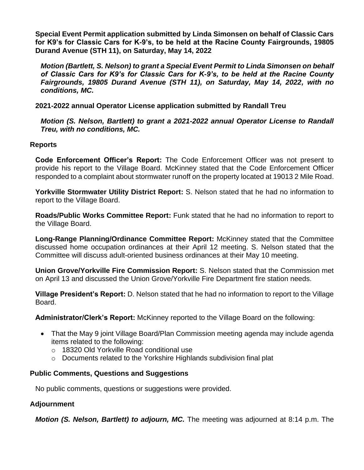**Special Event Permit application submitted by Linda Simonsen on behalf of Classic Cars for K9's for Classic Cars for K-9's, to be held at the Racine County Fairgrounds, 19805 Durand Avenue (STH 11), on Saturday, May 14, 2022**

*Motion (Bartlett, S. Nelson) to grant a Special Event Permit to Linda Simonsen on behalf of Classic Cars for K9's for Classic Cars for K-9's, to be held at the Racine County Fairgrounds, 19805 Durand Avenue (STH 11), on Saturday, May 14, 2022, with no conditions, MC.*

**2021-2022 annual Operator License application submitted by Randall Treu**

*Motion (S. Nelson, Bartlett) to grant a 2021-2022 annual Operator License to Randall Treu, with no conditions, MC.*

# **Reports**

**Code Enforcement Officer's Report:** The Code Enforcement Officer was not present to provide his report to the Village Board. McKinney stated that the Code Enforcement Officer responded to a complaint about stormwater runoff on the property located at 19013 2 Mile Road.

**Yorkville Stormwater Utility District Report:** S. Nelson stated that he had no information to report to the Village Board.

**Roads/Public Works Committee Report:** Funk stated that he had no information to report to the Village Board.

**Long-Range Planning/Ordinance Committee Report:** McKinney stated that the Committee discussed home occupation ordinances at their April 12 meeting. S. Nelson stated that the Committee will discuss adult-oriented business ordinances at their May 10 meeting.

**Union Grove/Yorkville Fire Commission Report:** S. Nelson stated that the Commission met on April 13 and discussed the Union Grove/Yorkville Fire Department fire station needs.

**Village President's Report:** D. Nelson stated that he had no information to report to the Village Board.

**Administrator/Clerk's Report:** McKinney reported to the Village Board on the following:

- That the May 9 joint Village Board/Plan Commission meeting agenda may include agenda items related to the following:
	- o 18320 Old Yorkville Road conditional use
	- $\circ$  Documents related to the Yorkshire Highlands subdivision final plat

# **Public Comments, Questions and Suggestions**

No public comments, questions or suggestions were provided.

# **Adjournment**

*Motion (S. Nelson, Bartlett) to adjourn, MC.* The meeting was adjourned at 8:14 p.m. The